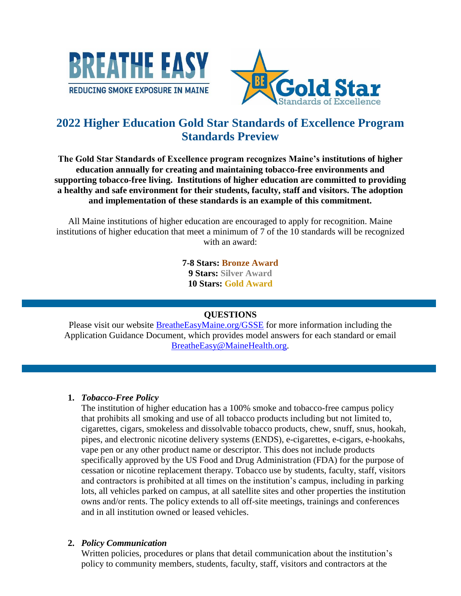



# **2022 Higher Education Gold Star Standards of Excellence Program Standards Preview**

**The Gold Star Standards of Excellence program recognizes Maine's institutions of higher education annually for creating and maintaining tobacco-free environments and supporting tobacco-free living. Institutions of higher education are committed to providing a healthy and safe environment for their students, faculty, staff and visitors. The adoption and implementation of these standards is an example of this commitment.** 

All Maine institutions of higher education are encouraged to apply for recognition. Maine institutions of higher education that meet a minimum of 7 of the 10 standards will be recognized with an award:

> **7-8 Stars: Bronze Award 9 Stars: Silver Award 10 Stars: Gold Award**

# **QUESTIONS**

Please visit our website [BreatheEasyMaine.org/GSSE](http://www.breatheeasymaine.org/behavioralhealth/gsse) for more information including the Application Guidance Document, which provides model answers for each standard or email [BreatheEasy@MaineHealth.org.](mailto:BreatheEasy@MaineHealth.org)

# **1.** *Tobacco-Free Policy*

The institution of higher education has a 100% smoke and tobacco-free campus policy that prohibits all smoking and use of all tobacco products including but not limited to, cigarettes, cigars, smokeless and dissolvable tobacco products, chew, snuff, snus, hookah, pipes, and electronic nicotine delivery systems (ENDS), e-cigarettes, e-cigars, e-hookahs, vape pen or any other product name or descriptor. This does not include products specifically approved by the US Food and Drug Administration (FDA) for the purpose of cessation or nicotine replacement therapy. Tobacco use by students, faculty, staff, visitors and contractors is prohibited at all times on the institution's campus, including in parking lots, all vehicles parked on campus, at all satellite sites and other properties the institution owns and/or rents. The policy extends to all off-site meetings, trainings and conferences and in all institution owned or leased vehicles.

# **2.** *Policy Communication*

Written policies, procedures or plans that detail communication about the institution's policy to community members, students, faculty, staff, visitors and contractors at the